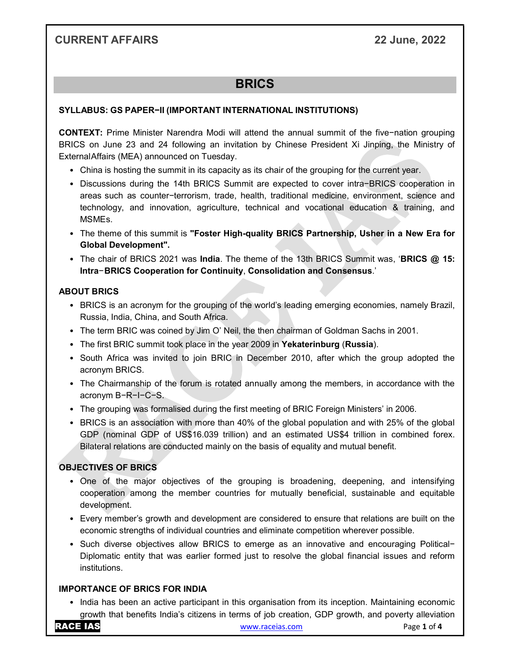# CURRENT AFFAIRS 22 June, 2022

# **BRICS**

## SYLLABUS: GS PAPER−II (IMPORTANT INTERNATIONAL INSTITUTIONS)

CONTEXT: Prime Minister Narendra Modi will attend the annual summit of the five−nation grouping BRICS on June 23 and 24 following an invitation by Chinese President Xi Jinping, the Ministry of External Affairs (MEA) announced on Tuesday.

- China is hosting the summit in its capacity as its chair of the grouping for the current year.
- Discussions during the 14th BRICS Summit are expected to cover intra−BRICS cooperation in areas such as counter−terrorism, trade, health, traditional medicine, environment, science and technology, and innovation, agriculture, technical and vocational education & training, and MSMEs.
- The theme of this summit is "Foster High-quality BRICS Partnership, Usher in a New Era for Global Development".
- The chair of BRICS 2021 was **India**. The theme of the 13th BRICS Summit was, 'BRICS @ 15: Intra− BRICS Cooperation for Continuity, Consolidation and Consensus.'

## ABOUT BRICS

- BRICS is an acronym for the grouping of the world's leading emerging economies, namely Brazil, Russia, India, China, and South Africa.
- The term BRIC was coined by Jim O' Neil, the then chairman of Goldman Sachs in 2001.
- The first BRIC summit took place in the year 2009 in Yekaterinburg (Russia).
- South Africa was invited to join BRIC in December 2010, after which the group adopted the acronym BRICS.
- The Chairmanship of the forum is rotated annually among the members, in accordance with the acronym B−R−I−C−S.
- The grouping was formalised during the first meeting of BRIC Foreign Ministers' in 2006.
- BRICS is an association with more than 40% of the global population and with 25% of the global GDP (nominal GDP of US\$16.039 trillion) and an estimated US\$4 trillion in combined forex. Bilateral relations are conducted mainly on the basis of equality and mutual benefit.

# OBJECTIVES OF BRICS

- One of the major objectives of the grouping is broadening, deepening, and intensifying cooperation among the member countries for mutually beneficial, sustainable and equitable development.
- Every member's growth and development are considered to ensure that relations are built on the economic strengths of individual countries and eliminate competition wherever possible.
- Such diverse objectives allow BRICS to emerge as an innovative and encouraging Political− Diplomatic entity that was earlier formed just to resolve the global financial issues and reform institutions.

# IMPORTANCE OF BRICS FOR INDIA

• India has been an active participant in this organisation from its inception. Maintaining economic growth that benefits India's citizens in terms of job creation, GDP growth, and poverty alleviation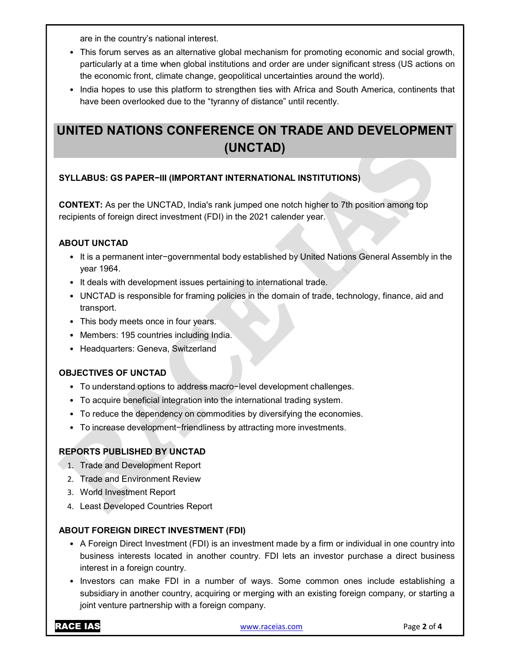are in the country's national interest.

- This forum serves as an alternative global mechanism for promoting economic and social growth, particularly at a time when global institutions and order are under significant stress (US actions on the economic front, climate change, geopolitical uncertainties around the world).
- India hopes to use this platform to strengthen ties with Africa and South America, continents that have been overlooked due to the "tyranny of distance" until recently.

# UNITED NATIONS CONFERENCE ON TRADE AND DEVELOPMENT (UNCTAD)

## SYLLABUS: GS PAPER−III (IMPORTANT INTERNATIONAL INSTITUTIONS)

CONTEXT: As per the UNCTAD, India's rank jumped one notch higher to 7th position among top recipients of foreign direct investment (FDI) in the 2021 calender year.

#### ABOUT UNCTAD

- It is a permanent inter−governmental body established by United Nations General Assembly in the year 1964.
- It deals with development issues pertaining to international trade.
- UNCTAD is responsible for framing policies in the domain of trade, technology, finance, aid and transport.
- This body meets once in four years.
- Members: 195 countries including India.
- Headquarters: Geneva, Switzerland

#### OBJECTIVES OF UNCTAD

- To understand options to address macro−level development challenges.
- To acquire beneficial integration into the international trading system.
- To reduce the dependency on commodities by diversifying the economies.
- To increase development−friendliness by attracting more investments.

#### REPORTS PUBLISHED BY UNCTAD

- 1. Trade and Development Report
	- 2. Trade and Environment Review
	- 3. World Investment Report
	- 4. Least Developed Countries Report

#### ABOUT FOREIGN DIRECT INVESTMENT (FDI)

- A Foreign Direct Investment (FDI) is an investment made by a firm or individual in one country into business interests located in another country. FDI lets an investor purchase a direct business interest in a foreign country.
- Investors can make FDI in a number of ways. Some common ones include establishing a subsidiary in another country, acquiring or merging with an existing foreign company, or starting a joint venture partnership with a foreign company.

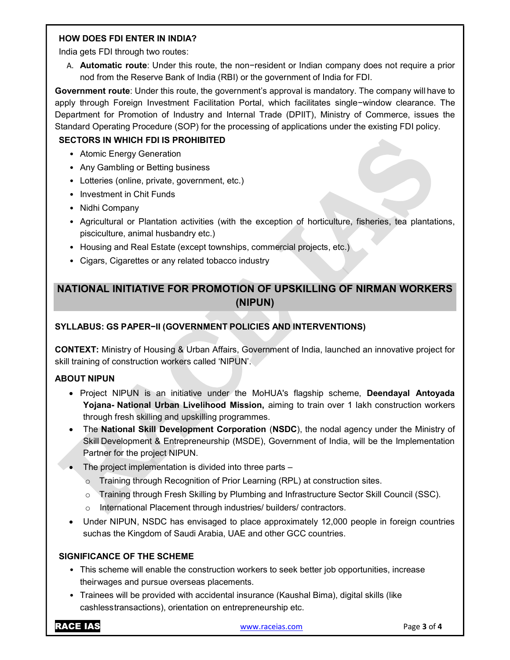#### HOW DOES FDI ENTER IN INDIA?

India gets FDI through two routes:

A. Automatic route: Under this route, the non−resident or Indian company does not require a prior nod from the Reserve Bank of India (RBI) or the government of India for FDI.

Government route: Under this route, the government's approval is mandatory. The company will have to apply through Foreign Investment Facilitation Portal, which facilitates single−window clearance. The Department for Promotion of Industry and Internal Trade (DPIIT), Ministry of Commerce, issues the Standard Operating Procedure (SOP) for the processing of applications under the existing FDI policy.

# SECTORS IN WHICH FDI IS PROHIBITED

- Atomic Energy Generation
- Any Gambling or Betting business
- Lotteries (online, private, government, etc.)
- Investment in Chit Funds
- Nidhi Company
- Agricultural or Plantation activities (with the exception of horticulture, fisheries, tea plantations, pisciculture, animal husbandry etc.)
- Housing and Real Estate (except townships, commercial projects, etc.)
- Cigars, Cigarettes or any related tobacco industry

# NATIONAL INITIATIVE FOR PROMOTION OF UPSKILLING OF NIRMAN WORKERS (NIPUN)

# SYLLABUS: GS PAPER−II (GOVERNMENT POLICIES AND INTERVENTIONS)

CONTEXT: Ministry of Housing & Urban Affairs, Government of India, launched an innovative project for skill training of construction workers called 'NIPUN'.

## ABOUT NIPUN

- Project NIPUN is an initiative under the MoHUA's flagship scheme, Deendayal Antoyada Yojana- National Urban Livelihood Mission, aiming to train over 1 lakh construction workers through fresh skilling and upskilling programmes.
- The National Skill Development Corporation (NSDC), the nodal agency under the Ministry of Skill Development & Entrepreneurship (MSDE), Government of India, will be the Implementation Partner for the project NIPUN.
- The project implementation is divided into three parts
	- o Training through Recognition of Prior Learning (RPL) at construction sites.
	- o Training through Fresh Skilling by Plumbing and Infrastructure Sector Skill Council (SSC).
	- o International Placement through industries/ builders/ contractors.
- Under NIPUN, NSDC has envisaged to place approximately 12,000 people in foreign countries such as the Kingdom of Saudi Arabia, UAE and other GCC countries.

## SIGNIFICANCE OF THE SCHEME

- This scheme will enable the construction workers to seek better job opportunities, increase their wages and pursue overseas placements.
- Trainees will be provided with accidental insurance (Kaushal Bima), digital skills (like cashless transactions), orientation on entrepreneurship etc.